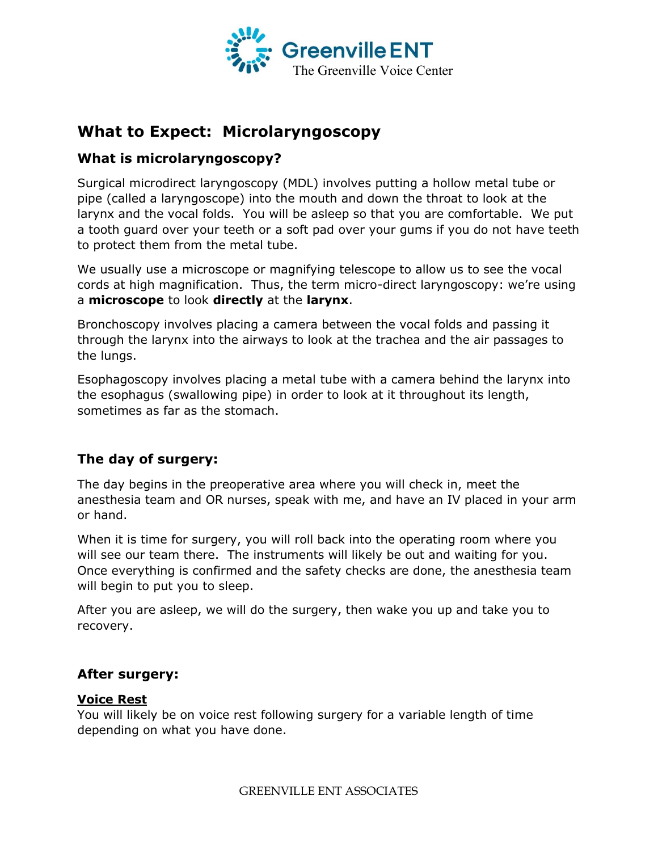

# **What to Expect: Microlaryngoscopy**

# **What is microlaryngoscopy?**

Surgical microdirect laryngoscopy (MDL) involves putting a hollow metal tube or pipe (called a laryngoscope) into the mouth and down the throat to look at the larynx and the vocal folds. You will be asleep so that you are comfortable. We put a tooth guard over your teeth or a soft pad over your gums if you do not have teeth to protect them from the metal tube.

We usually use a microscope or magnifying telescope to allow us to see the vocal cords at high magnification. Thus, the term micro-direct laryngoscopy: we're using a **microscope** to look **directly** at the **larynx**.

Bronchoscopy involves placing a camera between the vocal folds and passing it through the larynx into the airways to look at the trachea and the air passages to the lungs.

Esophagoscopy involves placing a metal tube with a camera behind the larynx into the esophagus (swallowing pipe) in order to look at it throughout its length, sometimes as far as the stomach.

# **The day of surgery:**

The day begins in the preoperative area where you will check in, meet the anesthesia team and OR nurses, speak with me, and have an IV placed in your arm or hand.

When it is time for surgery, you will roll back into the operating room where you will see our team there. The instruments will likely be out and waiting for you. Once everything is confirmed and the safety checks are done, the anesthesia team will begin to put you to sleep.

After you are asleep, we will do the surgery, then wake you up and take you to recovery.

### **After surgery:**

### **Voice Rest**

You will likely be on voice rest following surgery for a variable length of time depending on what you have done.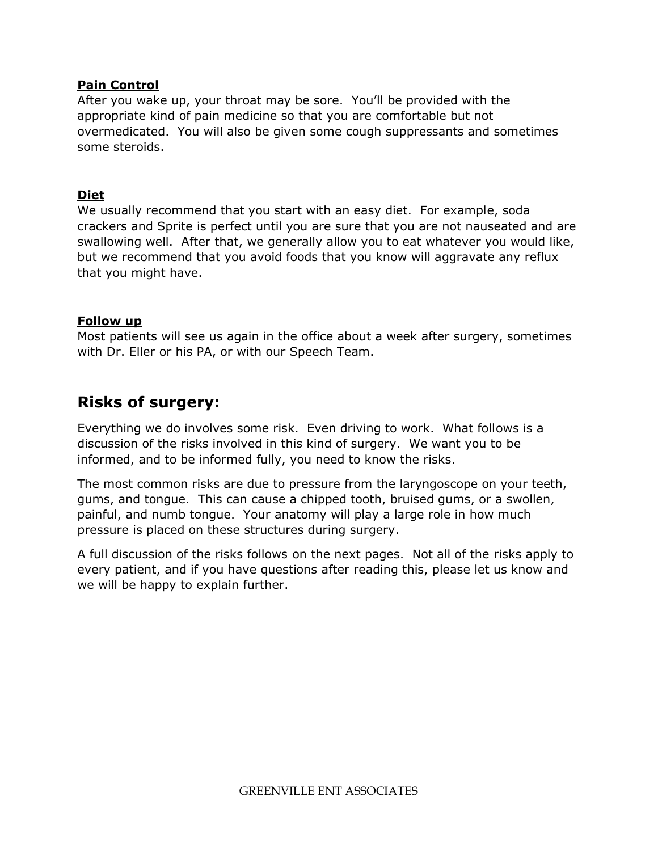### **Pain Control**

After you wake up, your throat may be sore. You'll be provided with the appropriate kind of pain medicine so that you are comfortable but not overmedicated. You will also be given some cough suppressants and sometimes some steroids.

## **Diet**

We usually recommend that you start with an easy diet. For example, soda crackers and Sprite is perfect until you are sure that you are not nauseated and are swallowing well. After that, we generally allow you to eat whatever you would like, but we recommend that you avoid foods that you know will aggravate any reflux that you might have.

## **Follow up**

Most patients will see us again in the office about a week after surgery, sometimes with Dr. Eller or his PA, or with our Speech Team.

# **Risks of surgery:**

Everything we do involves some risk. Even driving to work. What follows is a discussion of the risks involved in this kind of surgery. We want you to be informed, and to be informed fully, you need to know the risks.

The most common risks are due to pressure from the laryngoscope on your teeth, gums, and tongue. This can cause a chipped tooth, bruised gums, or a swollen, painful, and numb tongue. Your anatomy will play a large role in how much pressure is placed on these structures during surgery.

A full discussion of the risks follows on the next pages. Not all of the risks apply to every patient, and if you have questions after reading this, please let us know and we will be happy to explain further.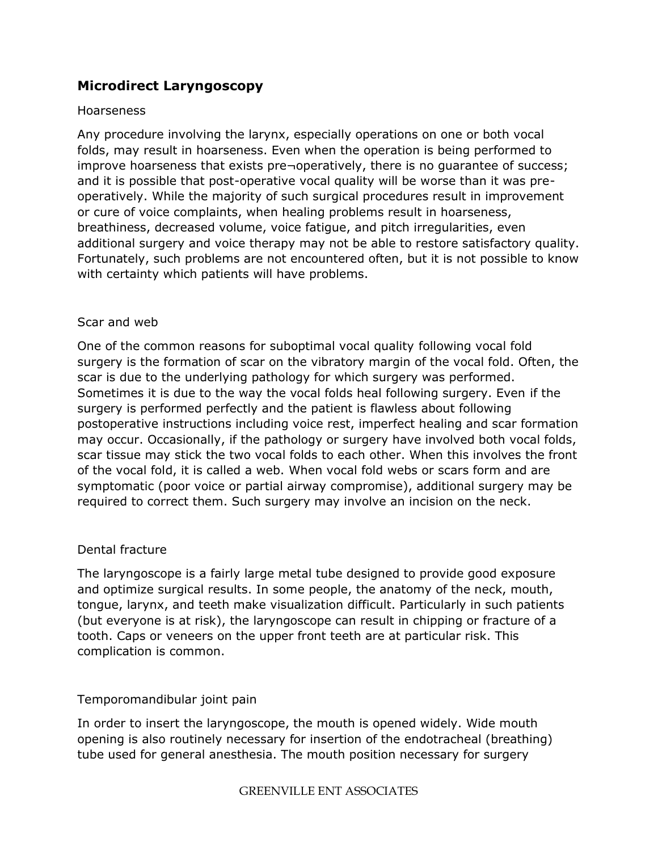# **Microdirect Laryngoscopy**

#### Hoarseness

Any procedure involving the larynx, especially operations on one or both vocal folds, may result in hoarseness. Even when the operation is being performed to improve hoarseness that exists pre¬operatively, there is no guarantee of success; and it is possible that post-operative vocal quality will be worse than it was preoperatively. While the majority of such surgical procedures result in improvement or cure of voice complaints, when healing problems result in hoarseness, breathiness, decreased volume, voice fatigue, and pitch irregularities, even additional surgery and voice therapy may not be able to restore satisfactory quality. Fortunately, such problems are not encountered often, but it is not possible to know with certainty which patients will have problems.

### Scar and web

One of the common reasons for suboptimal vocal quality following vocal fold surgery is the formation of scar on the vibratory margin of the vocal fold. Often, the scar is due to the underlying pathology for which surgery was performed. Sometimes it is due to the way the vocal folds heal following surgery. Even if the surgery is performed perfectly and the patient is flawless about following postoperative instructions including voice rest, imperfect healing and scar formation may occur. Occasionally, if the pathology or surgery have involved both vocal folds, scar tissue may stick the two vocal folds to each other. When this involves the front of the vocal fold, it is called a web. When vocal fold webs or scars form and are symptomatic (poor voice or partial airway compromise), additional surgery may be required to correct them. Such surgery may involve an incision on the neck.

### Dental fracture

The laryngoscope is a fairly large metal tube designed to provide good exposure and optimize surgical results. In some people, the anatomy of the neck, mouth, tongue, larynx, and teeth make visualization difficult. Particularly in such patients (but everyone is at risk), the laryngoscope can result in chipping or fracture of a tooth. Caps or veneers on the upper front teeth are at particular risk. This complication is common.

### Temporomandibular joint pain

In order to insert the laryngoscope, the mouth is opened widely. Wide mouth opening is also routinely necessary for insertion of the endotracheal (breathing) tube used for general anesthesia. The mouth position necessary for surgery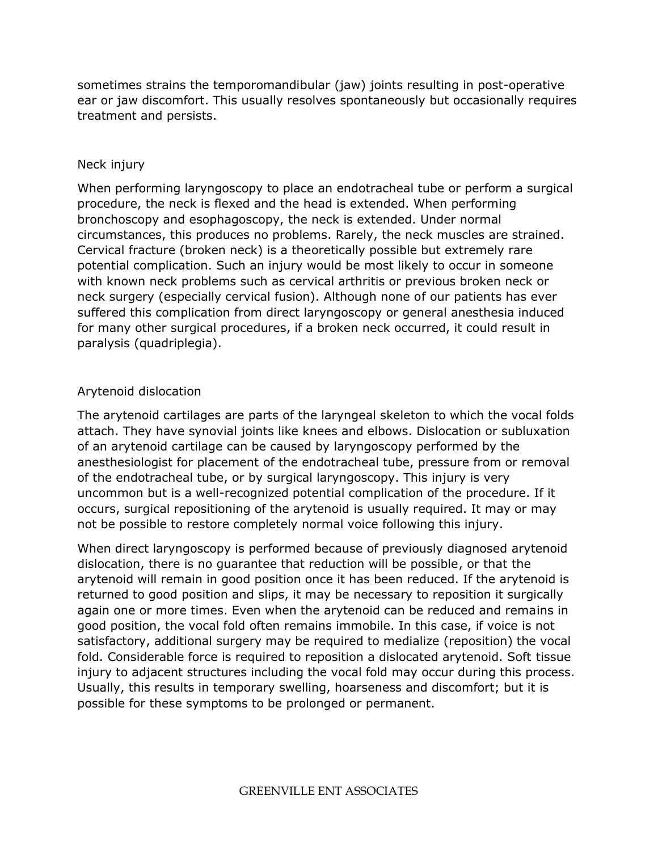sometimes strains the temporomandibular (jaw) joints resulting in post-operative ear or jaw discomfort. This usually resolves spontaneously but occasionally requires treatment and persists.

## Neck injury

When performing laryngoscopy to place an endotracheal tube or perform a surgical procedure, the neck is flexed and the head is extended. When performing bronchoscopy and esophagoscopy, the neck is extended. Under normal circumstances, this produces no problems. Rarely, the neck muscles are strained. Cervical fracture (broken neck) is a theoretically possible but extremely rare potential complication. Such an injury would be most likely to occur in someone with known neck problems such as cervical arthritis or previous broken neck or neck surgery (especially cervical fusion). Although none of our patients has ever suffered this complication from direct laryngoscopy or general anesthesia induced for many other surgical procedures, if a broken neck occurred, it could result in paralysis (quadriplegia).

## Arytenoid dislocation

The arytenoid cartilages are parts of the laryngeal skeleton to which the vocal folds attach. They have synovial joints like knees and elbows. Dislocation or subluxation of an arytenoid cartilage can be caused by laryngoscopy performed by the anesthesiologist for placement of the endotracheal tube, pressure from or removal of the endotracheal tube, or by surgical laryngoscopy. This injury is very uncommon but is a well-recognized potential complication of the procedure. If it occurs, surgical repositioning of the arytenoid is usually required. It may or may not be possible to restore completely normal voice following this injury.

When direct laryngoscopy is performed because of previously diagnosed arytenoid dislocation, there is no guarantee that reduction will be possible, or that the arytenoid will remain in good position once it has been reduced. If the arytenoid is returned to good position and slips, it may be necessary to reposition it surgically again one or more times. Even when the arytenoid can be reduced and remains in good position, the vocal fold often remains immobile. In this case, if voice is not satisfactory, additional surgery may be required to medialize (reposition) the vocal fold. Considerable force is required to reposition a dislocated arytenoid. Soft tissue injury to adjacent structures including the vocal fold may occur during this process. Usually, this results in temporary swelling, hoarseness and discomfort; but it is possible for these symptoms to be prolonged or permanent.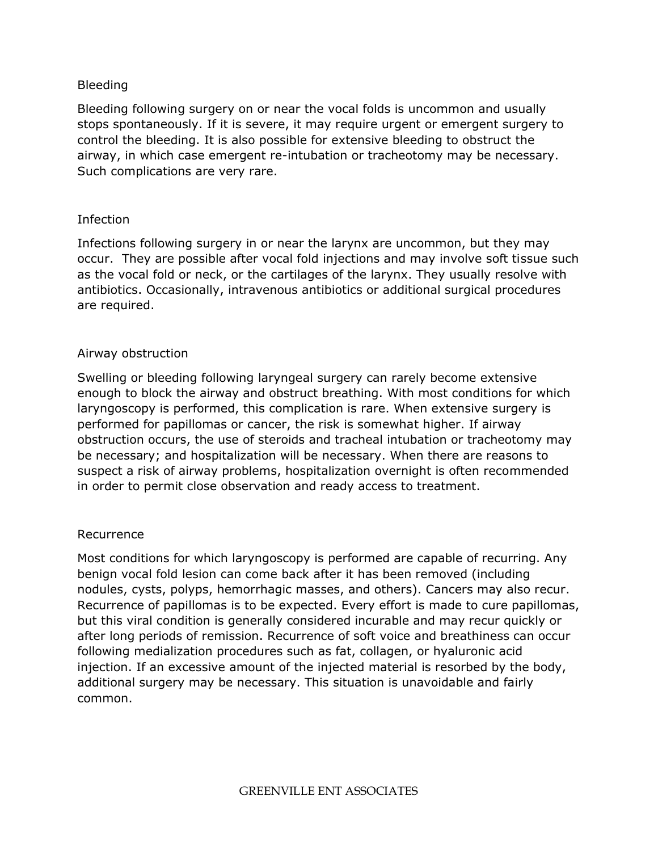#### Bleeding

Bleeding following surgery on or near the vocal folds is uncommon and usually stops spontaneously. If it is severe, it may require urgent or emergent surgery to control the bleeding. It is also possible for extensive bleeding to obstruct the airway, in which case emergent re-intubation or tracheotomy may be necessary. Such complications are very rare.

#### Infection

Infections following surgery in or near the larynx are uncommon, but they may occur. They are possible after vocal fold injections and may involve soft tissue such as the vocal fold or neck, or the cartilages of the larynx. They usually resolve with antibiotics. Occasionally, intravenous antibiotics or additional surgical procedures are required.

#### Airway obstruction

Swelling or bleeding following laryngeal surgery can rarely become extensive enough to block the airway and obstruct breathing. With most conditions for which laryngoscopy is performed, this complication is rare. When extensive surgery is performed for papillomas or cancer, the risk is somewhat higher. If airway obstruction occurs, the use of steroids and tracheal intubation or tracheotomy may be necessary; and hospitalization will be necessary. When there are reasons to suspect a risk of airway problems, hospitalization overnight is often recommended in order to permit close observation and ready access to treatment.

#### Recurrence

Most conditions for which laryngoscopy is performed are capable of recurring. Any benign vocal fold lesion can come back after it has been removed (including nodules, cysts, polyps, hemorrhagic masses, and others). Cancers may also recur. Recurrence of papillomas is to be expected. Every effort is made to cure papillomas, but this viral condition is generally considered incurable and may recur quickly or after long periods of remission. Recurrence of soft voice and breathiness can occur following medialization procedures such as fat, collagen, or hyaluronic acid injection. If an excessive amount of the injected material is resorbed by the body, additional surgery may be necessary. This situation is unavoidable and fairly common.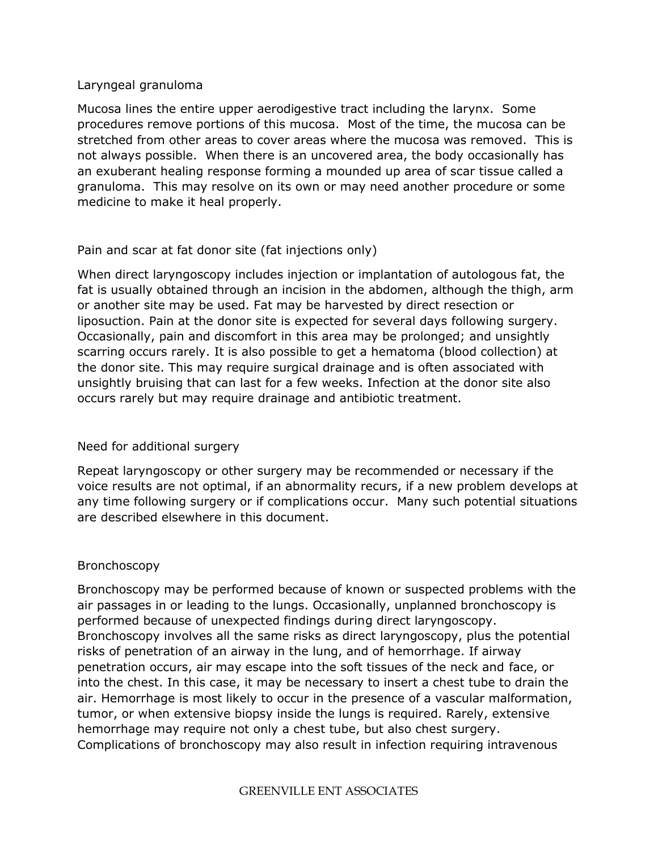#### Laryngeal granuloma

Mucosa lines the entire upper aerodigestive tract including the larynx. Some procedures remove portions of this mucosa. Most of the time, the mucosa can be stretched from other areas to cover areas where the mucosa was removed. This is not always possible. When there is an uncovered area, the body occasionally has an exuberant healing response forming a mounded up area of scar tissue called a granuloma. This may resolve on its own or may need another procedure or some medicine to make it heal properly.

### Pain and scar at fat donor site (fat injections only)

When direct laryngoscopy includes injection or implantation of autologous fat, the fat is usually obtained through an incision in the abdomen, although the thigh, arm or another site may be used. Fat may be harvested by direct resection or liposuction. Pain at the donor site is expected for several days following surgery. Occasionally, pain and discomfort in this area may be prolonged; and unsightly scarring occurs rarely. It is also possible to get a hematoma (blood collection) at the donor site. This may require surgical drainage and is often associated with unsightly bruising that can last for a few weeks. Infection at the donor site also occurs rarely but may require drainage and antibiotic treatment.

### Need for additional surgery

Repeat laryngoscopy or other surgery may be recommended or necessary if the voice results are not optimal, if an abnormality recurs, if a new problem develops at any time following surgery or if complications occur. Many such potential situations are described elsewhere in this document.

#### Bronchoscopy

Bronchoscopy may be performed because of known or suspected problems with the air passages in or leading to the lungs. Occasionally, unplanned bronchoscopy is performed because of unexpected findings during direct laryngoscopy. Bronchoscopy involves all the same risks as direct laryngoscopy, plus the potential risks of penetration of an airway in the lung, and of hemorrhage. If airway penetration occurs, air may escape into the soft tissues of the neck and face, or into the chest. In this case, it may be necessary to insert a chest tube to drain the air. Hemorrhage is most likely to occur in the presence of a vascular malformation, tumor, or when extensive biopsy inside the lungs is required. Rarely, extensive hemorrhage may require not only a chest tube, but also chest surgery. Complications of bronchoscopy may also result in infection requiring intravenous